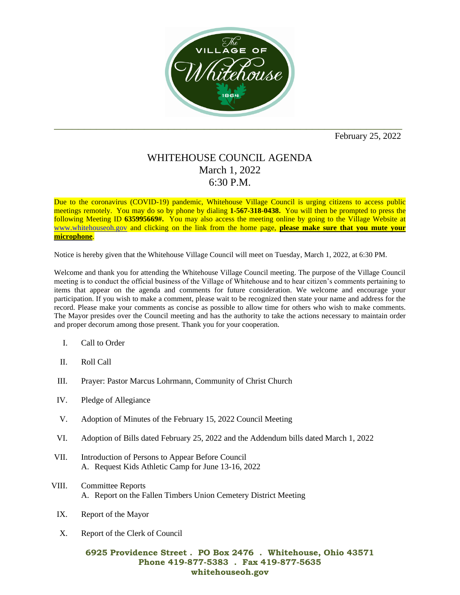

February 25, 2022

## WHITEHOUSE COUNCIL AGENDA March 1, 2022 6:30 P.M.

Due to the coronavirus (COVID-19) pandemic, Whitehouse Village Council is urging citizens to access public meetings remotely. You may do so by phone by dialing **1-567-318-0438.** You will then be prompted to press the following Meeting ID **635995669#.** You may also access the meeting online by going to the Village Website at [www.whitehouseoh.gov](http://www.whitehouseoh.gov/) and clicking on the link from the home page, **please make sure that you mute your microphone**.

Notice is hereby given that the Whitehouse Village Council will meet on Tuesday, March 1, 2022, at 6:30 PM.

Welcome and thank you for attending the Whitehouse Village Council meeting. The purpose of the Village Council meeting is to conduct the official business of the Village of Whitehouse and to hear citizen's comments pertaining to items that appear on the agenda and comments for future consideration. We welcome and encourage your participation. If you wish to make a comment, please wait to be recognized then state your name and address for the record. Please make your comments as concise as possible to allow time for others who wish to make comments. The Mayor presides over the Council meeting and has the authority to take the actions necessary to maintain order and proper decorum among those present. Thank you for your cooperation.

- I. Call to Order
- II. Roll Call
- III. Prayer: Pastor Marcus Lohrmann, Community of Christ Church
- IV. Pledge of Allegiance
- V. Adoption of Minutes of the February 15, 2022 Council Meeting
- VI. Adoption of Bills dated February 25, 2022 and the Addendum bills dated March 1, 2022
- VII. Introduction of Persons to Appear Before Council A. Request Kids Athletic Camp for June 13-16, 2022
- VIII. Committee Reports A. Report on the Fallen Timbers Union Cemetery District Meeting
	- IX. Report of the Mayor
	- X. Report of the Clerk of Council

## **6925 Providence Street . PO Box 2476 . Whitehouse, Ohio 43571 Phone 419-877-5383 . Fax 419-877-5635 whitehouseoh.gov**